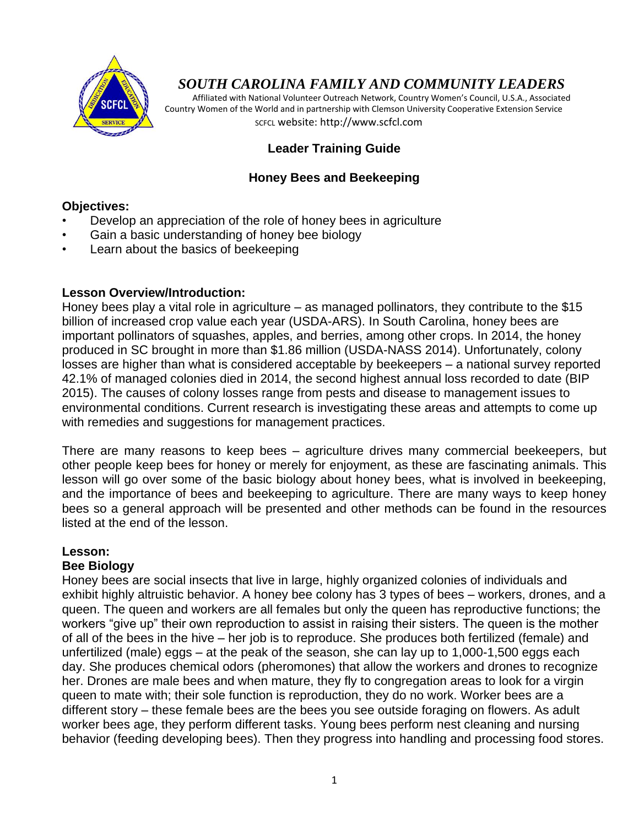

# *SOUTH CAROLINA FAMILY AND COMMUNITY LEADERS*

 Affiliated with National Volunteer Outreach Network, Country Women's Council, U.S.A., Associated Country Women of the World and in partnership with Clemson University Cooperative Extension Service SCFCL website: http://www.scfcl.com

# **Leader Training Guide**

## **Honey Bees and Beekeeping**

#### **Objectives:**

- Develop an appreciation of the role of honey bees in agriculture
- Gain a basic understanding of honey bee biology
- Learn about the basics of beekeeping

### **Lesson Overview/Introduction:**

Honey bees play a vital role in agriculture – as managed pollinators, they contribute to the \$15 billion of increased crop value each year (USDA-ARS). In South Carolina, honey bees are important pollinators of squashes, apples, and berries, among other crops. In 2014, the honey produced in SC brought in more than \$1.86 million (USDA-NASS 2014). Unfortunately, colony losses are higher than what is considered acceptable by beekeepers – a national survey reported 42.1% of managed colonies died in 2014, the second highest annual loss recorded to date (BIP 2015). The causes of colony losses range from pests and disease to management issues to environmental conditions. Current research is investigating these areas and attempts to come up with remedies and suggestions for management practices.

There are many reasons to keep bees – agriculture drives many commercial beekeepers, but other people keep bees for honey or merely for enjoyment, as these are fascinating animals. This lesson will go over some of the basic biology about honey bees, what is involved in beekeeping, and the importance of bees and beekeeping to agriculture. There are many ways to keep honey bees so a general approach will be presented and other methods can be found in the resources listed at the end of the lesson.

## **Lesson:**

### **Bee Biology**

Honey bees are social insects that live in large, highly organized colonies of individuals and exhibit highly altruistic behavior. A honey bee colony has 3 types of bees – workers, drones, and a queen. The queen and workers are all females but only the queen has reproductive functions; the workers "give up" their own reproduction to assist in raising their sisters. The queen is the mother of all of the bees in the hive – her job is to reproduce. She produces both fertilized (female) and unfertilized (male) eggs – at the peak of the season, she can lay up to 1,000-1,500 eggs each day. She produces chemical odors (pheromones) that allow the workers and drones to recognize her. Drones are male bees and when mature, they fly to congregation areas to look for a virgin queen to mate with; their sole function is reproduction, they do no work. Worker bees are a different story – these female bees are the bees you see outside foraging on flowers. As adult worker bees age, they perform different tasks. Young bees perform nest cleaning and nursing behavior (feeding developing bees). Then they progress into handling and processing food stores.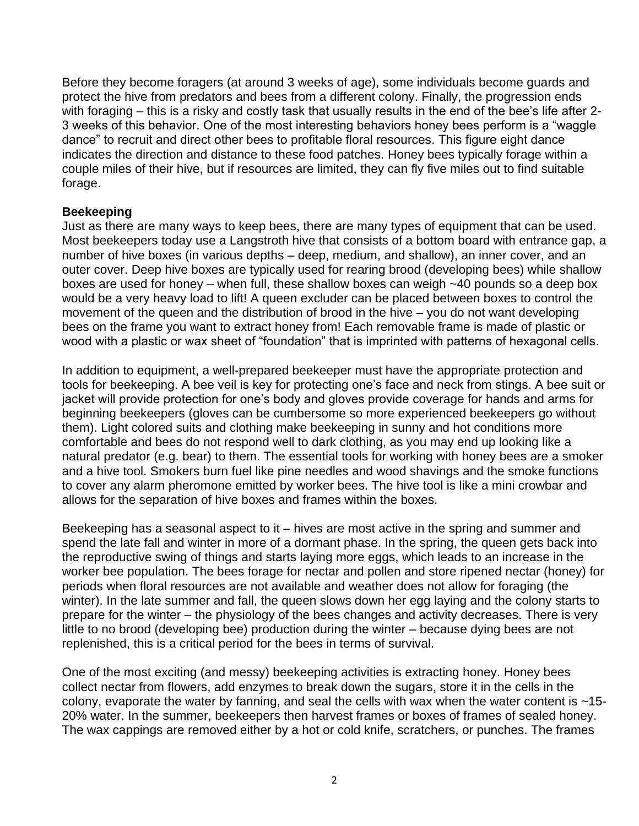Before they become foragers (at around 3 weeks of age), some individuals become guards and protect the hive from predators and bees from a different colony. Finally, the progression ends with foraging – this is a risky and costly task that usually results in the end of the bee's life after 2-3 weeks of this behavior. One of the most interesting behaviors honey bees perform is a "waggle dance" to recruit and direct other bees to profitable floral resources. This figure eight dance indicates the direction and distance to these food patches. Honey bees typically forage within a couple miles of their hive, but if resources are limited, they can fly five miles out to find suitable forage.

### **Beekeeping**

Just as there are many ways to keep bees, there are many types of equipment that can be used. Most beekeepers today use a Langstroth hive that consists of a bottom board with entrance gap, a number of hive boxes (in various depths – deep, medium, and shallow), an inner cover, and an outer cover. Deep hive boxes are typically used for rearing brood (developing bees) while shallow boxes are used for honey – when full, these shallow boxes can weigh ~40 pounds so a deep box would be a very heavy load to lift! A queen excluder can be placed between boxes to control the movement of the queen and the distribution of brood in the hive – you do not want developing bees on the frame you want to extract honey from! Each removable frame is made of plastic or wood with a plastic or wax sheet of "foundation" that is imprinted with patterns of hexagonal cells.

In addition to equipment, a well-prepared beekeeper must have the appropriate protection and tools for beekeeping. A bee veil is key for protecting one"s face and neck from stings. A bee suit or jacket will provide protection for one's body and gloves provide coverage for hands and arms for beginning beekeepers (gloves can be cumbersome so more experienced beekeepers go without them). Light colored suits and clothing make beekeeping in sunny and hot conditions more comfortable and bees do not respond well to dark clothing, as you may end up looking like a natural predator (e.g. bear) to them. The essential tools for working with honey bees are a smoker and a hive tool. Smokers burn fuel like pine needles and wood shavings and the smoke functions to cover any alarm pheromone emitted by worker bees. The hive tool is like a mini crowbar and allows for the separation of hive boxes and frames within the boxes.

Beekeeping has a seasonal aspect to it – hives are most active in the spring and summer and spend the late fall and winter in more of a dormant phase. In the spring, the queen gets back into the reproductive swing of things and starts laying more eggs, which leads to an increase in the worker bee population. The bees forage for nectar and pollen and store ripened nectar (honey) for periods when floral resources are not available and weather does not allow for foraging (the winter). In the late summer and fall, the queen slows down her egg laying and the colony starts to prepare for the winter – the physiology of the bees changes and activity decreases. There is very little to no brood (developing bee) production during the winter – because dying bees are not replenished, this is a critical period for the bees in terms of survival.

One of the most exciting (and messy) beekeeping activities is extracting honey. Honey bees collect nectar from flowers, add enzymes to break down the sugars, store it in the cells in the colony, evaporate the water by fanning, and seal the cells with wax when the water content is  $~15-$ 20% water. In the summer, beekeepers then harvest frames or boxes of frames of sealed honey. The wax cappings are removed either by a hot or cold knife, scratchers, or punches. The frames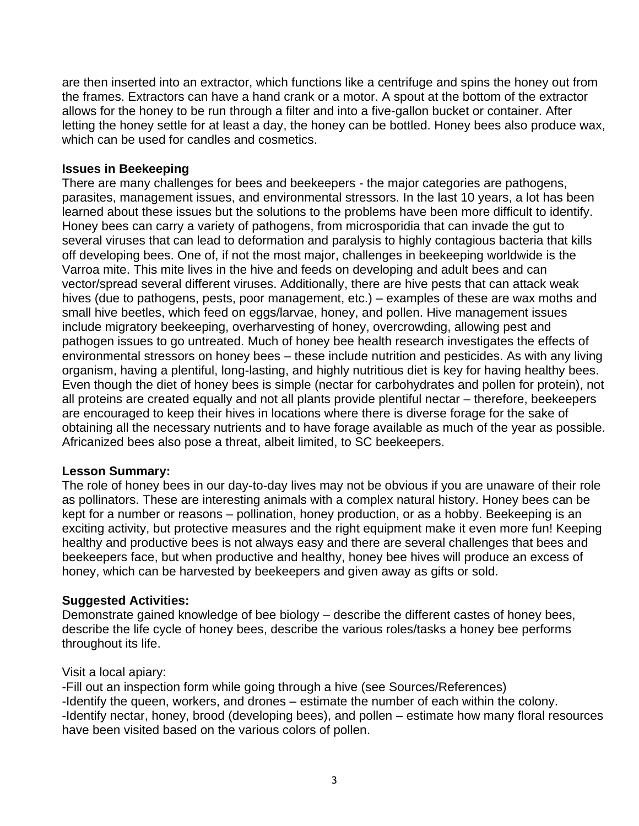are then inserted into an extractor, which functions like a centrifuge and spins the honey out from the frames. Extractors can have a hand crank or a motor. A spout at the bottom of the extractor allows for the honey to be run through a filter and into a five-gallon bucket or container. After letting the honey settle for at least a day, the honey can be bottled. Honey bees also produce wax, which can be used for candles and cosmetics.

#### **Issues in Beekeeping**

There are many challenges for bees and beekeepers - the major categories are pathogens, parasites, management issues, and environmental stressors. In the last 10 years, a lot has been learned about these issues but the solutions to the problems have been more difficult to identify. Honey bees can carry a variety of pathogens, from microsporidia that can invade the gut to several viruses that can lead to deformation and paralysis to highly contagious bacteria that kills off developing bees. One of, if not the most major, challenges in beekeeping worldwide is the Varroa mite. This mite lives in the hive and feeds on developing and adult bees and can vector/spread several different viruses. Additionally, there are hive pests that can attack weak hives (due to pathogens, pests, poor management, etc.) – examples of these are wax moths and small hive beetles, which feed on eggs/larvae, honey, and pollen. Hive management issues include migratory beekeeping, overharvesting of honey, overcrowding, allowing pest and pathogen issues to go untreated. Much of honey bee health research investigates the effects of environmental stressors on honey bees – these include nutrition and pesticides. As with any living organism, having a plentiful, long-lasting, and highly nutritious diet is key for having healthy bees. Even though the diet of honey bees is simple (nectar for carbohydrates and pollen for protein), not all proteins are created equally and not all plants provide plentiful nectar – therefore, beekeepers are encouraged to keep their hives in locations where there is diverse forage for the sake of obtaining all the necessary nutrients and to have forage available as much of the year as possible. Africanized bees also pose a threat, albeit limited, to SC beekeepers.

#### **Lesson Summary:**

The role of honey bees in our day-to-day lives may not be obvious if you are unaware of their role as pollinators. These are interesting animals with a complex natural history. Honey bees can be kept for a number or reasons – pollination, honey production, or as a hobby. Beekeeping is an exciting activity, but protective measures and the right equipment make it even more fun! Keeping healthy and productive bees is not always easy and there are several challenges that bees and beekeepers face, but when productive and healthy, honey bee hives will produce an excess of honey, which can be harvested by beekeepers and given away as gifts or sold.

### **Suggested Activities:**

Demonstrate gained knowledge of bee biology – describe the different castes of honey bees, describe the life cycle of honey bees, describe the various roles/tasks a honey bee performs throughout its life.

#### Visit a local apiary:

-Fill out an inspection form while going through a hive (see Sources/References) -Identify the queen, workers, and drones – estimate the number of each within the colony. -Identify nectar, honey, brood (developing bees), and pollen – estimate how many floral resources have been visited based on the various colors of pollen.